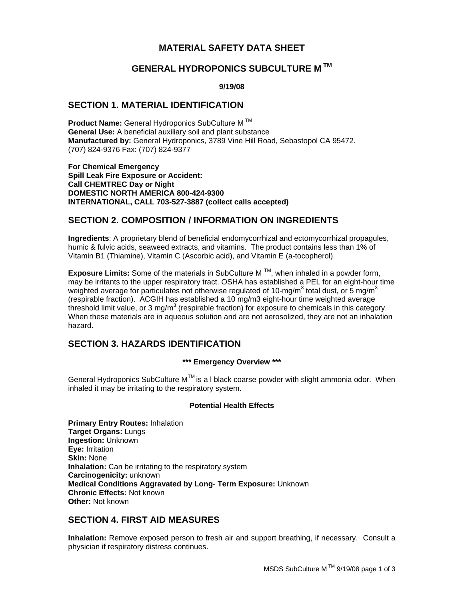# **MATERIAL SAFETY DATA SHEET**

# **GENERAL HYDROPONICS SUBCULTURE M TM**

#### **9/19/08**

### **SECTION 1. MATERIAL IDENTIFICATION**

**Product Name:** General Hydroponics SubCulture M TM **General Use:** A beneficial auxiliary soil and plant substance **Manufactured by:** General Hydroponics, 3789 Vine Hill Road, Sebastopol CA 95472. (707) 824-9376 Fax: (707) 824-9377

**For Chemical Emergency Spill Leak Fire Exposure or Accident: Call CHEMTREC Day or Night DOMESTIC NORTH AMERICA 800-424-9300 INTERNATIONAL, CALL 703-527-3887 (collect calls accepted)**

# **SECTION 2. COMPOSITION / INFORMATION ON INGREDIENTS**

**Ingredients**: A proprietary blend of beneficial endomycorrhizal and ectomycorrhizal propagules, humic & fulvic acids, seaweed extracts, and vitamins. The product contains less than 1% of Vitamin B1 (Thiamine), Vitamin C (Ascorbic acid), and Vitamin E (a-tocopherol).

**Exposure Limits:** Some of the materials in SubCulture M TM, when inhaled in a powder form, may be irritants to the upper respiratory tract. OSHA has established a PEL for an eight-hour time weighted average for particulates not otherwise regulated of 10-mg/m<sup>3</sup> total dust, or 5 mg/m<sup>3</sup> (respirable fraction). ACGIH has established a 10 mg/m3 eight-hour time weighted average threshold limit value, or 3 mg/m<sup>3</sup> (respirable fraction) for exposure to chemicals in this category. When these materials are in aqueous solution and are not aerosolized, they are not an inhalation hazard.

## **SECTION 3. HAZARDS IDENTIFICATION**

#### **\*\*\* Emergency Overview \*\*\***

General Hydroponics SubCulture  $M^{TM}$  is a I black coarse powder with slight ammonia odor. When inhaled it may be irritating to the respiratory system.

### **Potential Health Effects**

**Primary Entry Routes:** Inhalation **Target Organs:** Lungs **Ingestion:** Unknown **Eye:** Irritation **Skin:** None **Inhalation:** Can be irritating to the respiratory system **Carcinogenicity:** unknown **Medical Conditions Aggravated by Long**- **Term Exposure:** Unknown **Chronic Effects:** Not known **Other:** Not known

## **SECTION 4. FIRST AID MEASURES**

**Inhalation:** Remove exposed person to fresh air and support breathing, if necessary. Consult a physician if respiratory distress continues.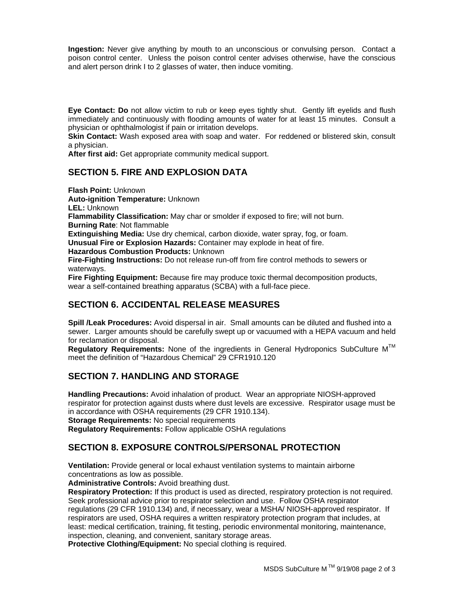**Ingestion:** Never give anything by mouth to an unconscious or convulsing person. Contact a poison control center. Unless the poison control center advises otherwise, have the conscious and alert person drink I to 2 glasses of water, then induce vomiting.

**Eye Contact: Do** not allow victim to rub or keep eyes tightly shut. Gently lift eyelids and flush immediately and continuously with flooding amounts of water for at least 15 minutes. Consult a physician or ophthalmologist if pain or irritation develops.

**Skin Contact:** Wash exposed area with soap and water. For reddened or blistered skin, consult a physician.

**After first aid:** Get appropriate community medical support.

# **SECTION 5. FIRE AND EXPLOSION DATA**

**Flash Point:** Unknown **Auto-ignition Temperature:** Unknown **LEL:** Unknown **Flammability Classification:** May char or smolder if exposed to fire; will not burn. **Burning Rate**: Not flammable **Extinguishing Media:** Use dry chemical, carbon dioxide, water spray, fog, or foam. **Unusual Fire or Explosion Hazards:** Container may explode in heat of fire. **Hazardous Combustion Products:** Unknown **Fire-Fighting Instructions:** Do not release run-off from fire control methods to sewers or waterways. **Fire Fighting Equipment:** Because fire may produce toxic thermal decomposition products, wear a self-contained breathing apparatus (SCBA) with a full-face piece.

# **SECTION 6. ACCIDENTAL RELEASE MEASURES**

**Spill /Leak Procedures:** Avoid dispersal in air. Small amounts can be diluted and flushed into a sewer. Larger amounts should be carefully swept up or vacuumed with a HEPA vacuum and held for reclamation or disposal.

Regulatory Requirements: None of the ingredients in General Hydroponics SubCulture M<sup>™</sup> meet the definition of "Hazardous Chemical" 29 CFR1910.120

# **SECTION 7. HANDLING AND STORAGE**

**Handling Precautions:** Avoid inhalation of product. Wear an appropriate NIOSH-approved respirator for protection against dusts where dust levels are excessive. Respirator usage must be in accordance with OSHA requirements (29 CFR 1910.134). **Storage Requirements:** No special requirements

**Regulatory Requirements:** Follow applicable OSHA regulations

## **SECTION 8. EXPOSURE CONTROLS/PERSONAL PROTECTION**

**Ventilation:** Provide general or local exhaust ventilation systems to maintain airborne concentrations as low as possible.

**Administrative Controls:** Avoid breathing dust.

**Respiratory Protection:** If this product is used as directed, respiratory protection is not required. Seek professional advice prior to respirator selection and use. Follow OSHA respirator regulations (29 CFR 1910.134) and, if necessary, wear a MSHA/ NIOSH-approved respirator.If respirators are used, OSHA requires a written respiratory protection program that includes, at least: medical certification, training, fit testing, periodic environmental monitoring, maintenance, inspection, cleaning, and convenient, sanitary storage areas.

**Protective Clothing/Equipment:** No special clothing is required.